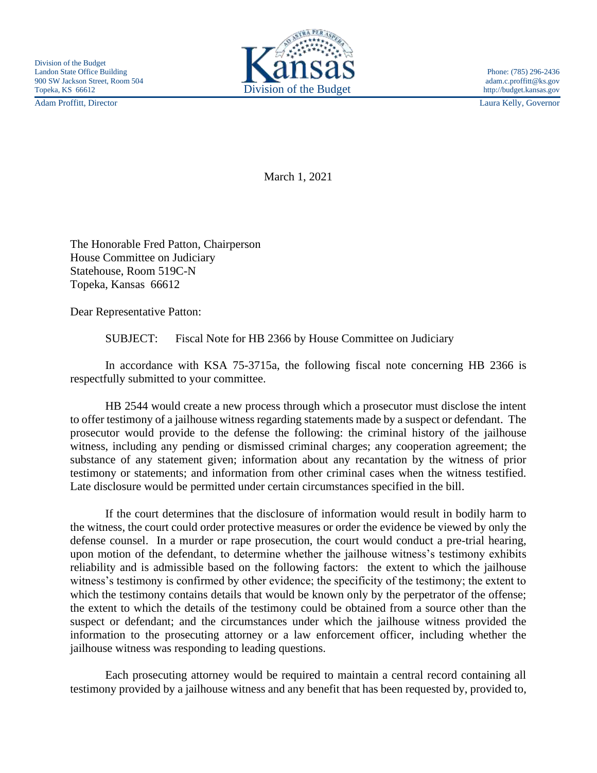Adam Proffitt, Director Laura Kelly, Governor



March 1, 2021

The Honorable Fred Patton, Chairperson House Committee on Judiciary Statehouse, Room 519C-N Topeka, Kansas 66612

Dear Representative Patton:

SUBJECT: Fiscal Note for HB 2366 by House Committee on Judiciary

In accordance with KSA 75-3715a, the following fiscal note concerning HB 2366 is respectfully submitted to your committee.

HB 2544 would create a new process through which a prosecutor must disclose the intent to offer testimony of a jailhouse witness regarding statements made by a suspect or defendant. The prosecutor would provide to the defense the following: the criminal history of the jailhouse witness, including any pending or dismissed criminal charges; any cooperation agreement; the substance of any statement given; information about any recantation by the witness of prior testimony or statements; and information from other criminal cases when the witness testified. Late disclosure would be permitted under certain circumstances specified in the bill.

If the court determines that the disclosure of information would result in bodily harm to the witness, the court could order protective measures or order the evidence be viewed by only the defense counsel. In a murder or rape prosecution, the court would conduct a pre-trial hearing, upon motion of the defendant, to determine whether the jailhouse witness's testimony exhibits reliability and is admissible based on the following factors: the extent to which the jailhouse witness's testimony is confirmed by other evidence; the specificity of the testimony; the extent to which the testimony contains details that would be known only by the perpetrator of the offense; the extent to which the details of the testimony could be obtained from a source other than the suspect or defendant; and the circumstances under which the jailhouse witness provided the information to the prosecuting attorney or a law enforcement officer, including whether the jailhouse witness was responding to leading questions.

Each prosecuting attorney would be required to maintain a central record containing all testimony provided by a jailhouse witness and any benefit that has been requested by, provided to,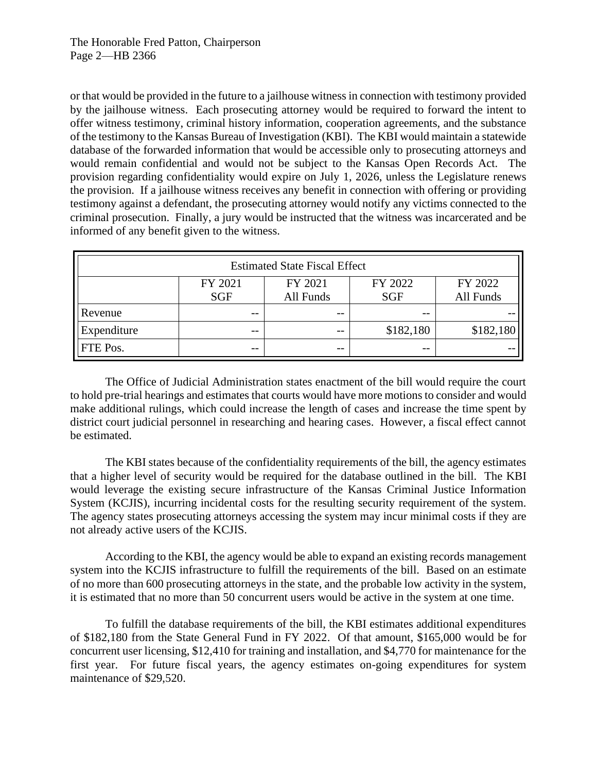or that would be provided in the future to a jailhouse witness in connection with testimony provided by the jailhouse witness. Each prosecuting attorney would be required to forward the intent to offer witness testimony, criminal history information, cooperation agreements, and the substance of the testimony to the Kansas Bureau of Investigation (KBI). The KBI would maintain a statewide database of the forwarded information that would be accessible only to prosecuting attorneys and would remain confidential and would not be subject to the Kansas Open Records Act. The provision regarding confidentiality would expire on July 1, 2026, unless the Legislature renews the provision. If a jailhouse witness receives any benefit in connection with offering or providing testimony against a defendant, the prosecuting attorney would notify any victims connected to the criminal prosecution. Finally, a jury would be instructed that the witness was incarcerated and be informed of any benefit given to the witness.

| <b>Estimated State Fiscal Effect</b> |                       |                      |                       |                      |
|--------------------------------------|-----------------------|----------------------|-----------------------|----------------------|
|                                      | FY 2021<br><b>SGF</b> | FY 2021<br>All Funds | FY 2022<br><b>SGF</b> | FY 2022<br>All Funds |
| Revenue                              | $- -$                 | --                   | $- -$                 |                      |
| Expenditure                          | --                    | --                   | \$182,180             | \$182,180            |
| <b>FTE</b> Pos.                      | $- -$                 | $- -$                | $- -$                 |                      |

The Office of Judicial Administration states enactment of the bill would require the court to hold pre-trial hearings and estimates that courts would have more motions to consider and would make additional rulings, which could increase the length of cases and increase the time spent by district court judicial personnel in researching and hearing cases. However, a fiscal effect cannot be estimated.

The KBI states because of the confidentiality requirements of the bill, the agency estimates that a higher level of security would be required for the database outlined in the bill. The KBI would leverage the existing secure infrastructure of the Kansas Criminal Justice Information System (KCJIS), incurring incidental costs for the resulting security requirement of the system. The agency states prosecuting attorneys accessing the system may incur minimal costs if they are not already active users of the KCJIS.

According to the KBI, the agency would be able to expand an existing records management system into the KCJIS infrastructure to fulfill the requirements of the bill. Based on an estimate of no more than 600 prosecuting attorneys in the state, and the probable low activity in the system, it is estimated that no more than 50 concurrent users would be active in the system at one time.

To fulfill the database requirements of the bill, the KBI estimates additional expenditures of \$182,180 from the State General Fund in FY 2022. Of that amount, \$165,000 would be for concurrent user licensing, \$12,410 for training and installation, and \$4,770 for maintenance for the first year. For future fiscal years, the agency estimates on-going expenditures for system maintenance of \$29,520.